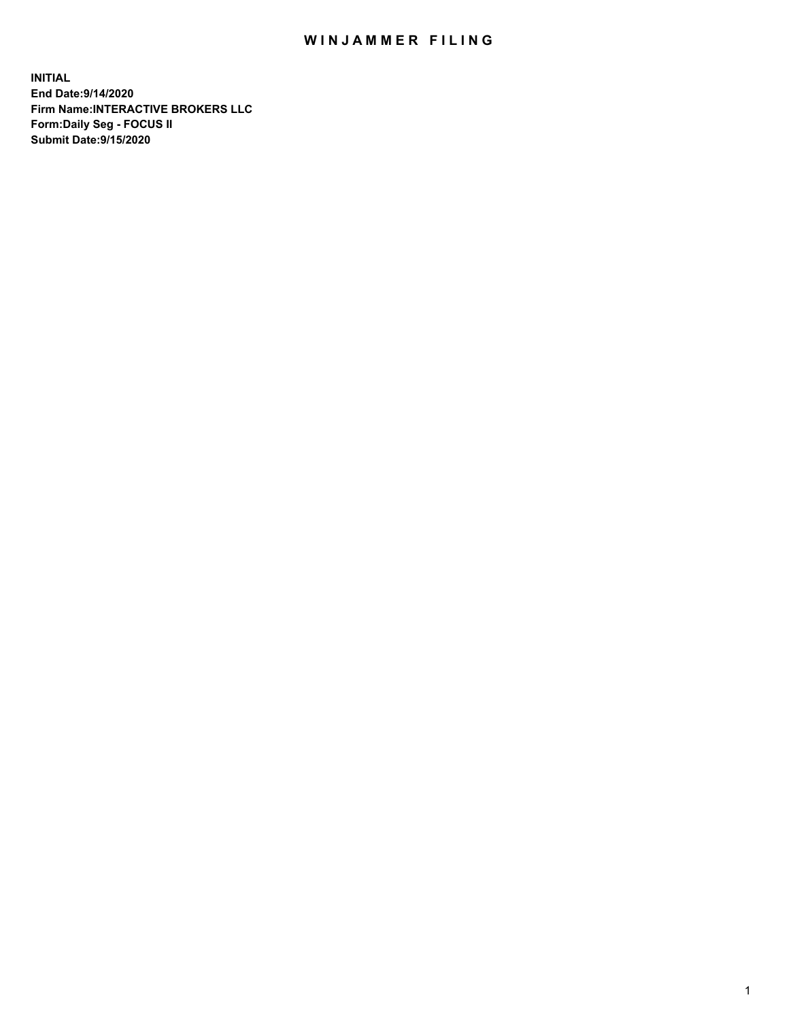## WIN JAMMER FILING

**INITIAL End Date:9/14/2020 Firm Name:INTERACTIVE BROKERS LLC Form:Daily Seg - FOCUS II Submit Date:9/15/2020**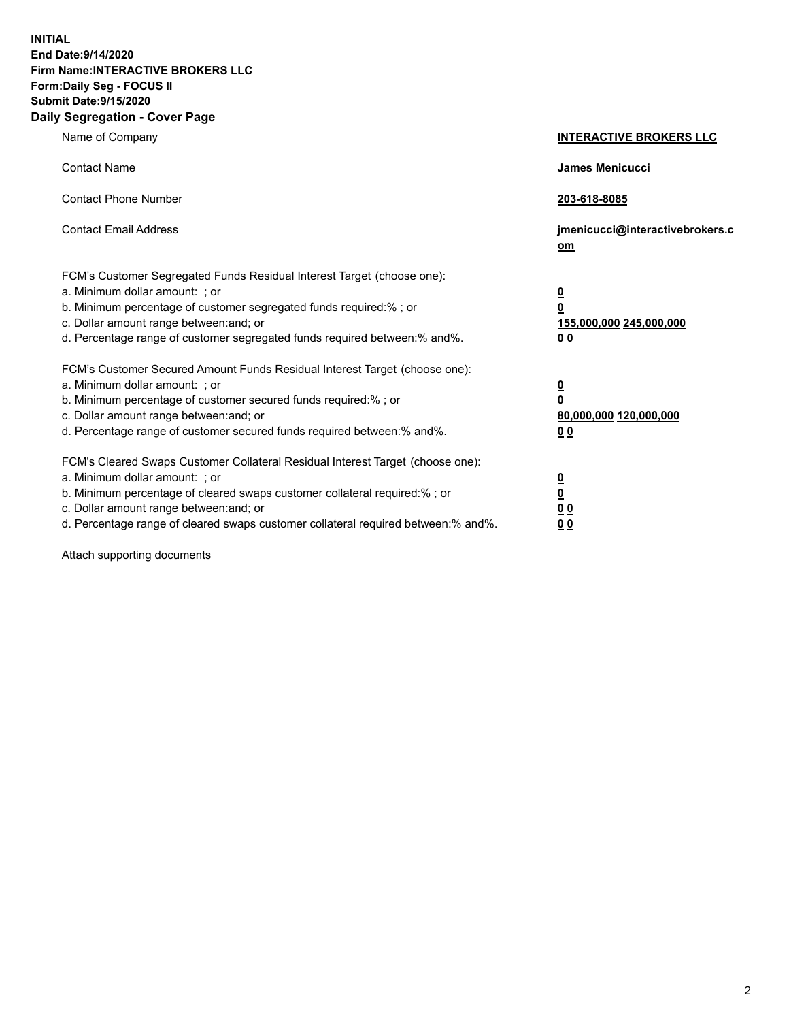**INITIAL End Date:9/14/2020 Firm Name:INTERACTIVE BROKERS LLC Form:Daily Seg - FOCUS II Submit Date:9/15/2020 Daily Segregation - Cover Page**

| Name of Company                                                                                                                                                                                                                                                                                                                | <b>INTERACTIVE BROKERS LLC</b>                                                                  |
|--------------------------------------------------------------------------------------------------------------------------------------------------------------------------------------------------------------------------------------------------------------------------------------------------------------------------------|-------------------------------------------------------------------------------------------------|
| <b>Contact Name</b>                                                                                                                                                                                                                                                                                                            | <b>James Menicucci</b>                                                                          |
| <b>Contact Phone Number</b>                                                                                                                                                                                                                                                                                                    | 203-618-8085                                                                                    |
| <b>Contact Email Address</b>                                                                                                                                                                                                                                                                                                   | jmenicucci@interactivebrokers.c<br>om                                                           |
| FCM's Customer Segregated Funds Residual Interest Target (choose one):<br>a. Minimum dollar amount: ; or<br>b. Minimum percentage of customer segregated funds required:%; or<br>c. Dollar amount range between: and; or<br>d. Percentage range of customer segregated funds required between:% and%.                          | $\overline{\mathbf{0}}$<br>$\overline{\mathbf{0}}$<br>155,000,000 245,000,000<br>0 <sub>0</sub> |
| FCM's Customer Secured Amount Funds Residual Interest Target (choose one):<br>a. Minimum dollar amount: ; or<br>b. Minimum percentage of customer secured funds required:%; or<br>c. Dollar amount range between: and; or<br>d. Percentage range of customer secured funds required between:% and%.                            | <u>0</u><br>$\overline{\mathbf{0}}$<br>80,000,000 120,000,000<br>0 <sub>0</sub>                 |
| FCM's Cleared Swaps Customer Collateral Residual Interest Target (choose one):<br>a. Minimum dollar amount: ; or<br>b. Minimum percentage of cleared swaps customer collateral required:% ; or<br>c. Dollar amount range between: and; or<br>d. Percentage range of cleared swaps customer collateral required between:% and%. | $\overline{\mathbf{0}}$<br>$\underline{\mathbf{0}}$<br>0 <sub>0</sub><br>00                     |

Attach supporting documents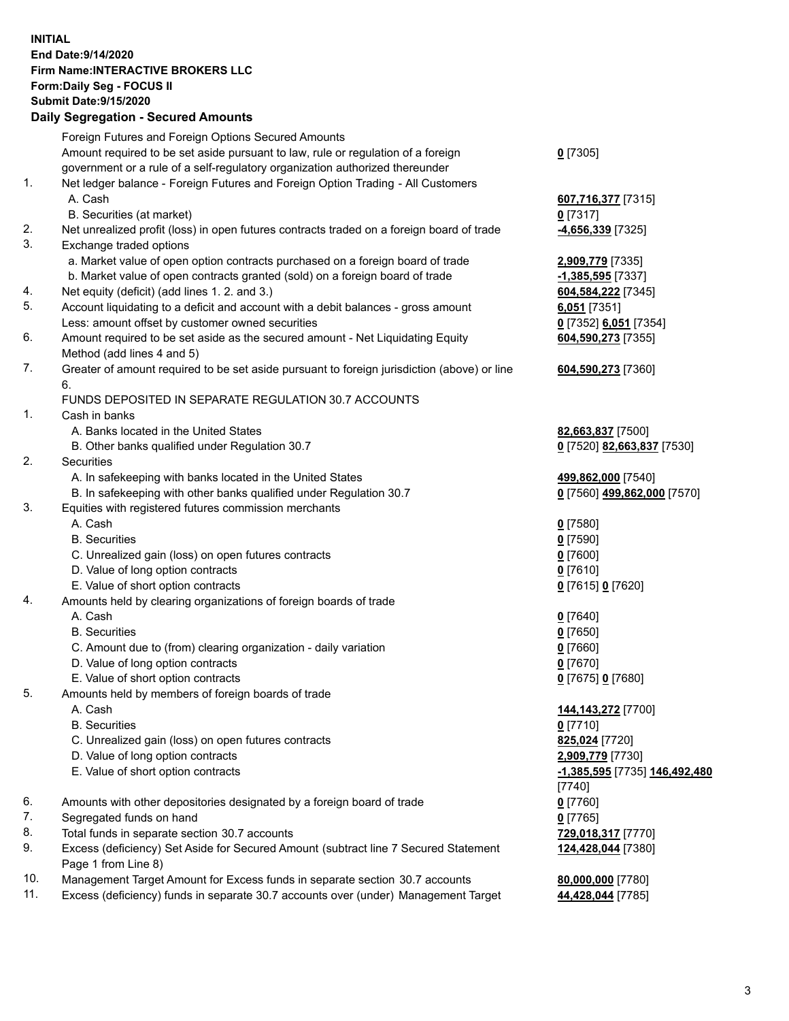**INITIAL End Date:9/14/2020 Firm Name:INTERACTIVE BROKERS LLC Form:Daily Seg - FOCUS II Submit Date:9/15/2020 Daily Segregation - Secured Amounts**

|     | Daily Segregation - Secureu Amounts                                                                        |                               |
|-----|------------------------------------------------------------------------------------------------------------|-------------------------------|
|     | Foreign Futures and Foreign Options Secured Amounts                                                        |                               |
|     | Amount required to be set aside pursuant to law, rule or regulation of a foreign                           | $0$ [7305]                    |
|     | government or a rule of a self-regulatory organization authorized thereunder                               |                               |
| 1.  | Net ledger balance - Foreign Futures and Foreign Option Trading - All Customers                            |                               |
|     | A. Cash                                                                                                    | 607,716,377 [7315]            |
|     | B. Securities (at market)                                                                                  | $0$ [7317]                    |
| 2.  | Net unrealized profit (loss) in open futures contracts traded on a foreign board of trade                  | -4,656,339 [7325]             |
| 3.  | Exchange traded options                                                                                    |                               |
|     | a. Market value of open option contracts purchased on a foreign board of trade                             | 2,909,779 [7335]              |
|     | b. Market value of open contracts granted (sold) on a foreign board of trade                               | -1,385,595 [7337]             |
| 4.  | Net equity (deficit) (add lines 1. 2. and 3.)                                                              | 604,584,222 [7345]            |
| 5.  | Account liquidating to a deficit and account with a debit balances - gross amount                          | $6,051$ [7351]                |
|     | Less: amount offset by customer owned securities                                                           | 0 [7352] 6,051 [7354]         |
| 6.  | Amount required to be set aside as the secured amount - Net Liquidating Equity                             | 604,590,273 [7355]            |
|     | Method (add lines 4 and 5)                                                                                 |                               |
| 7.  | Greater of amount required to be set aside pursuant to foreign jurisdiction (above) or line                | 604,590,273 [7360]            |
|     | 6.                                                                                                         |                               |
|     | FUNDS DEPOSITED IN SEPARATE REGULATION 30.7 ACCOUNTS                                                       |                               |
| 1.  | Cash in banks                                                                                              |                               |
|     | A. Banks located in the United States                                                                      | 82,663,837 [7500]             |
|     | B. Other banks qualified under Regulation 30.7                                                             | 0 [7520] 82,663,837 [7530]    |
| 2.  | <b>Securities</b>                                                                                          |                               |
|     | A. In safekeeping with banks located in the United States                                                  | 499,862,000 [7540]            |
|     | B. In safekeeping with other banks qualified under Regulation 30.7                                         | 0 [7560] 499,862,000 [7570]   |
| 3.  | Equities with registered futures commission merchants                                                      |                               |
|     | A. Cash                                                                                                    | $0$ [7580]                    |
|     | <b>B.</b> Securities                                                                                       | $0$ [7590]                    |
|     | C. Unrealized gain (loss) on open futures contracts                                                        | $0$ [7600]                    |
|     | D. Value of long option contracts                                                                          | $0$ [7610]                    |
|     | E. Value of short option contracts                                                                         | 0 [7615] 0 [7620]             |
| 4.  | Amounts held by clearing organizations of foreign boards of trade                                          |                               |
|     | A. Cash                                                                                                    | $0$ [7640]                    |
|     | <b>B.</b> Securities                                                                                       | $0$ [7650]                    |
|     | C. Amount due to (from) clearing organization - daily variation                                            | $0$ [7660]                    |
|     | D. Value of long option contracts                                                                          | $0$ [7670]                    |
|     | E. Value of short option contracts                                                                         | 0 [7675] 0 [7680]             |
| 5.  | Amounts held by members of foreign boards of trade                                                         |                               |
|     | A. Cash                                                                                                    | 144, 143, 272 [7700]          |
|     | <b>B.</b> Securities                                                                                       | $0$ [7710]                    |
|     | C. Unrealized gain (loss) on open futures contracts                                                        | 825,024 [7720]                |
|     | D. Value of long option contracts                                                                          | 2,909,779 [7730]              |
|     | E. Value of short option contracts                                                                         | -1,385,595 [7735] 146,492,480 |
|     |                                                                                                            | $[7740]$                      |
| 6.  | Amounts with other depositories designated by a foreign board of trade                                     | $0$ [7760]                    |
| 7.  | Segregated funds on hand                                                                                   | $0$ [7765]                    |
| 8.  | Total funds in separate section 30.7 accounts                                                              | 729,018,317 [7770]            |
| 9.  | Excess (deficiency) Set Aside for Secured Amount (subtract line 7 Secured Statement<br>Page 1 from Line 8) | 124,428,044 [7380]            |
| 10. | Management Target Amount for Excess funds in separate section 30.7 accounts                                | 80,000,000 [7780]             |
| 11. | Excess (deficiency) funds in separate 30.7 accounts over (under) Management Target                         | 44,428,044 [7785]             |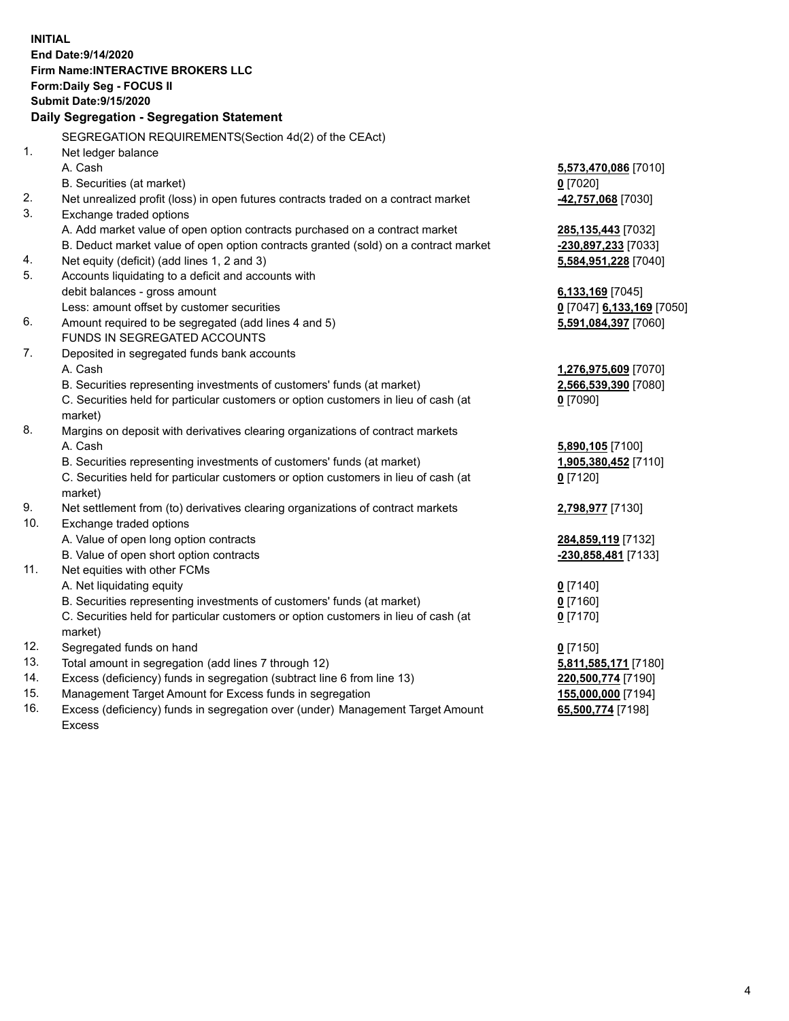**INITIAL End Date:9/14/2020 Firm Name:INTERACTIVE BROKERS LLC Form:Daily Seg - FOCUS II Submit Date:9/15/2020 Daily Segregation - Segregation Statement** SEGREGATION REQUIREMENTS(Section 4d(2) of the CEAct) 1. Net ledger balance A. Cash **5,573,470,086** [7010] B. Securities (at market) **0** [7020] 2. Net unrealized profit (loss) in open futures contracts traded on a contract market **-42,757,068** [7030] 3. Exchange traded options A. Add market value of open option contracts purchased on a contract market **285,135,443** [7032] B. Deduct market value of open option contracts granted (sold) on a contract market **-230,897,233** [7033] 4. Net equity (deficit) (add lines 1, 2 and 3) **5,584,951,228** [7040] 5. Accounts liquidating to a deficit and accounts with debit balances - gross amount **6,133,169** [7045] Less: amount offset by customer securities **0** [7047] **6,133,169** [7050] 6. Amount required to be segregated (add lines 4 and 5) **5,591,084,397** [7060] FUNDS IN SEGREGATED ACCOUNTS 7. Deposited in segregated funds bank accounts A. Cash **1,276,975,609** [7070] B. Securities representing investments of customers' funds (at market) **2,566,539,390** [7080] C. Securities held for particular customers or option customers in lieu of cash (at market) **0** [7090] 8. Margins on deposit with derivatives clearing organizations of contract markets A. Cash **5,890,105** [7100] B. Securities representing investments of customers' funds (at market) **1,905,380,452** [7110] C. Securities held for particular customers or option customers in lieu of cash (at market) **0** [7120] 9. Net settlement from (to) derivatives clearing organizations of contract markets **2,798,977** [7130] 10. Exchange traded options A. Value of open long option contracts **284,859,119** [7132] B. Value of open short option contracts **-230,858,481** [7133] 11. Net equities with other FCMs A. Net liquidating equity **0** [7140] B. Securities representing investments of customers' funds (at market) **0** [7160] C. Securities held for particular customers or option customers in lieu of cash (at market) **0** [7170] 12. Segregated funds on hand **0** [7150] 13. Total amount in segregation (add lines 7 through 12) **5,811,585,171** [7180] 14. Excess (deficiency) funds in segregation (subtract line 6 from line 13) **220,500,774** [7190] 15. Management Target Amount for Excess funds in segregation **155,000,000** [7194] **65,500,774** [7198]

16. Excess (deficiency) funds in segregation over (under) Management Target Amount Excess